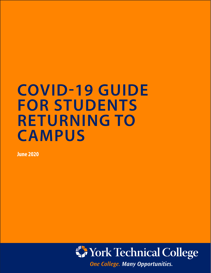# **COVID-19 GUIDE FOR STUDENTS RETURNING TO CAMPUS**

**June 2020**

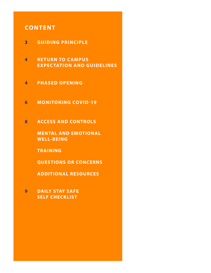# **CONTENT**

- **3 GUIDING PRINCIPLE**
- **4 RETURN TO CAMPUS EXPECTATION AND GUIDELINES**
- **4 PHASED OPENING**
- **6 MONITORING COVID-19**
- **8 ACCESS AND CONTROLS**

**MENTAL AND EMOTIONAL WELL-BEING** 

**TRAINING** 

**QUESTIONS OR CONCERNS**

**ADDITIONAL RESOURCES**

**9 DAILY STAY SAFE SELF CHECKLIST**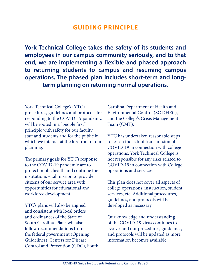### **GUIDING PRINCIPLE**

**York Technical College takes the safety of its students and employees in our campus community seriously, and to that end, we are implementing a flexible and phased approach to returning students to campus and resuming campus operations. The phased plan includes short-term and longterm planning on returning normal operations.**

York Technical College's (YTC) procedures, guidelines and protocols for responding to the COVID-19 pandemic will be rooted in a "people first" principle with safety for our faculty, staff and students and for the public in which we interact at the forefront of our planning.

The primary goals for YTC's response to the COVID-19 pandemic are to protect public health and continue the institution's vital mission to provide citizens of our service area with opportunities for educational and workforce development.

YTC's plans will also be aligned and consistent with local orders and ordinances of the State of South Carolina. Plans will also follow recommendations from the federal government (Opening Guidelines), Centers for Disease Control and Prevention (CDC), South Carolina Department of Health and Environmental Control (SC DHEC), and the College's Crisis Management Team (CMT).

YTC has undertaken reasonable steps to lessen the risk of transmission of COVID-19 in connection with college operations. York Technical College is not responsible for any risks related to COVID-19 in connection with College operations and services.

This plan does not cover all aspects of college operations, instruction, student services, etc. Additional procedures, guidelines, and protocols will be developed as necessary.

Our knowledge and understanding of the COVID-19 virus continues to evolve, and our procedures, guidelines, and protocols will be updated as more information becomes available.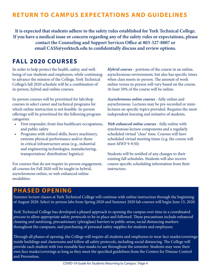# **RETURN TO CAMPUS EXPECTATIONS AND GUIDELINES**

**It is expected that students adhere to the safety rules established for York Technical College. If you have a medical issue or concern regarding any of the safety rules or expectations, please contact the Counseling and Support Services Office at 803-327-8007 or email CASS@yorktech.edu to confidentially discuss and review options.** 

### **FALL 2020 COURSES**

In order to help protect the health, safety, and wellbeing of our students and employees, while continuing to advance the mission of the College, York Technical College's fall 2020 schedule will be a combination of in-person, hybrid and online courses.

In-person courses will be prioritized for lab/shop courses in select career and technical programs for which online instruction is not feasible. In-person offerings will be prioritized for the following program categories:

- First responder, front-line healthcare occupations, and public safety
- Programs with refined skills, heavy machinery, extreme physical performance and/or those in critical infrastructure areas (e.g., industrial and engineering technologies, manufacturing, transportation/ distribution/ logistics)

For courses that do not require in-person engagement, all courses for Fall 2020 will be taught in hybrid, asynchronous online, or web-enhanced online modalities.

*Hybrid courses* - portions of the course in an online, asynchronous environment, but also has specific times when class meets in-person. The amount of work online versus in-person will vary based on the course. At least 50% of the course will be online.

*Asynchronous online courses* - fully online and asynchronous. Lectures may be pre-recorded or minilectures on specific topics provided. Requires the most independent learning and initiative of students.

*Web-enhanced online courses* - fully online with synchronous lecture components and a regularly scheduled virtual "class" time. Courses will have scheduled virtual meeting times (e.g. the course will meet MWF 9-9:50)

Students will be notified of any changes to their existing fall schedules. Students will also receive course-specific scheduling information from their instructors.

### **PHASED OPENING**

Summer lecture classes at York Technical College will continue with online instruction through the beginning of August 2020. Select in-person labs from Spring 2020 and Summer 2020 lab courses will begin June 15, 2020.

York Technical College has developed a phased approach to opening the campus over time in a coordinated process to allow appropriate safety protocols to be in place and followed. These precautions include enhanced cleaning and sanitizing, precautionary (plexiglass) barriers in public areas, social distancing markers throughout the campuses, and purchasing of personal safety supplies for students and employees.

Through all phases of opening, the College will require all students and employees to wear face masks/coverings inside buildings and classrooms and follow all safety protocols, including social distancing. The College will provide each student with two reusable face masks to use throughout the semester. Students may wear their own face masks/coverings as long as they meet the specified guidelines from the Centers for Disease Control and Prevention.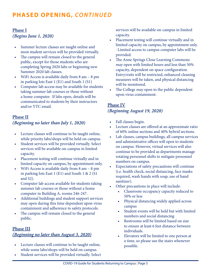# **PHASED OPENING,** *CONTINUED*

### **Phase I** *(Begins June 1, 2020)*

- Summer lecture classes are taught online and most student services will be provided virtually.
- The campus will remain closed to the general public, except for those students who are completing Spring 2020 labs or beginning new Summer 2020 lab classes.
- WiFi Access is available daily from 8 am 8 pm in parking lots East 1 (E1) and South 1 (S1)
- Computer lab access may be available for students taking summer lab courses or those without a home computer. If labs open, details will be communicated to students by their instructors and/or YTC email.

### **Phase II** *(Beginning no later than July 1, 2020)*

- Lecture classes will continue to be taught online, while priority labs/shops will be held on campus.
- Student services will be provided virtually. Select services will be available on-campus in limited capacity.
- Placement testing will continue virtually and in limited capacity on campus, by appointment only.
- WiFi Access is available daily from 8 am 8 pm in parking lots East 1 (E1) and South 1 & 2 (S1 and S2).
- Computer lab access available for students taking summer lab courses or those without a home computer in Building A, rooms 246-247.
- Additional buildings and student support services may open during this time dependent upon virus containment and adherence to safety protocols.
- The campus will remain closed to the general public.

### **Phase III** *(Beginning no later than August 3, 2020)*

- Lecture classes will continue to be taught online, while some labs/shops will be held on campus.
- Student services will be provided virtually. Select

services will be available on-campus in limited capacity.

- Placement testing will continue virtually and in limited capacity on campus, by appointment only. · Limited access to campus computer labs will be provided.
- The Anne Springs Close Learning Commons *may* open with limited hours and less than 50% capacity, dependent on space configuration. Entry/exits will be restricted, enhanced cleaning measures will be taken, and physical distancing will be monitored.
- The College *may* open to the public dependent upon virus containment.

### **Phase IV** *(Beginning August 19, 2020)*

- Fall classes begin.
- Lecture classes are offered at an approximate ratio of 60% online sections and 40% hybrid sections.
- Lab classes, campus buildings, all campus services and administrative offices will open to students on campus. However, virtual services will also continue to be provided as departments manage rotating personnel shifts to mitigate personnel numbers on campus.
- Expectations of safety precautions will continue (i.e. health check, social distancing, face masks required, wash hands with soap, use of hand sanitizer).
- Other precautions in place will include:
	- Classroom occupancy capacity reduced to 50% or less
	- Physical distancing widely applied across campus
	- Student events will be held but with limited numbers and social distancing
	- Restrooms will be limited based on size to ensure at least 6 feet distance between individuals.
	- Elevators will be limited to one person at a time, so please use the stairs whenever possible.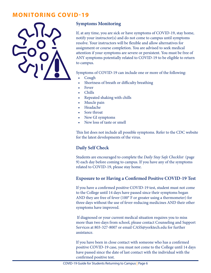### **MONITORING COVID-19**



#### **Symptoms Monitoring**

If, at any time, you are sick or have symptoms of COVID-19, stay home, notify your instructor(s) and do not come to campus until symptoms resolve. Your instructors will be flexible and allow alternatives for assignment or course completion. You are advised to seek medical attention if your symptoms are severe or persistent. You must be free of ANY symptoms potentially related to COVID-19 to be eligible to return to campus.

Symptoms of COVID-19 can include one or more of the following:

- Cough
- Shortness of breath or difficulty breathing
- Fever
- Chills
- Repeated shaking with chills
- Muscle pain
- Headache
- Sore throat
- New GI symptoms
- New loss of taste or smell

This list does not include all possible symptoms. Refer to the CDC website for the latest developments of the virus.

#### **Daily Self Check**

Students are encouraged to complete the *Daily Stay Safe Checklist* (page 9) each day before coming to campus. If you have any of the symptoms related to COVID-19, please stay home.

#### **Exposure to or Having a Confirmed Positive COVID-19 Test**

If you have a confirmed positive COVID-19 test, student must not come to the College until 14 days have passed since their symptoms began AND they are free of fever (100° F or greater using a thermometer) for three days without the use of fever-reducing medicines AND their other symptoms have improved.

 If diagnosed or your current medical situation requires you to miss more than two days from school, please contact Counseling and Support Services at 803-327-8007 or email CASS@yorktech.edu for further assistance.

If you have been in close contact with someone who has a confirmed positive COVID-19 case, you must not come to the College until 14 days have passed since the date of last contact with the individual with the confirmed positive test.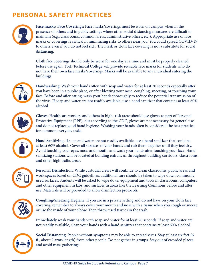# **PERSONAL SAFETY PRACTICES**



**Face masks/ Face Coverings:** Face masks/coverings must be worn on campus when in the presence of others and in public settings where other social distancing measures are difficult to maintain (e.g., classrooms, common areas, administrative offices, etc.). Appropriate use of face masks or coverings is critical in minimizing risks to others near you. You could spread COVID-19 to others even if you do not feel sick. The mask or cloth face covering is not a substitute for social distancing.

Cloth face coverings should only be worn for one day at a time and must be properly cleaned before use again. York Technical College will provide reusable face masks for students who do not have their own face masks/coverings. Masks will be available to any individual entering the buildings.



**Handwashing**: Wash your hands often with soap and water for at least 20 seconds especially after you have been in a public place, or after blowing your nose, coughing, sneezing, or touching your face. Before and after eating, wash your hands thoroughly to reduce the potential transmission of the virus. If soap and water are not readily available, use a hand sanitizer that contains at least 60% alcohol.



**Gloves**: Healthcare workers and others in high- risk areas should use gloves as part of Personal Protective Equipment (PPE), but according to the CDC, gloves are not necessary for general use and do not replace good hand hygiene. Washing your hands often is considered the best practice for common everyday tasks.

**Hand Sanitizing**: If soap and water are not readily available, use a hand sanitizer that contains at least 60% alcohol. Cover all surfaces of your hands and rub them together until they feel dry. Avoid touching your eyes, nose, and mouth, and wash your hands after touching your face. Hand sanitizing stations will be located at building entrances, throughout building corridors, classrooms, and other high traffic areas.



**Personal Disinfection**: While custodial crews will continue to clean classrooms, public areas and work spaces based on CDC guidelines, additional care should be taken to wipe down commonly used surfaces. Students will be asked to wipe down equipment and tools in classrooms, computers and other equipment in labs, and surfaces in areas like the Learning Commons before and after use. Materials will be provided to allow disinfection protocols.



**Coughing/Sneezing Hygiene**: If you are in a private setting and do not have on your cloth face covering, remember to always cover your mouth and nose with a tissue when you cough or sneeze or use the inside of your elbow. Then throw used tissues in the trash.

Immediately wash your hands with soap and water for at least 20 seconds. If soap and water are not readily available, clean your hands with a hand sanitizer that contains at least 60% alcohol.



**Social Distancing**: People without symptoms may be able to spread virus. Stay at least six feet (6 ft., about 2 arms length) from other people. Do not gather in groups. Stay out of crowded places and avoid mass gatherings.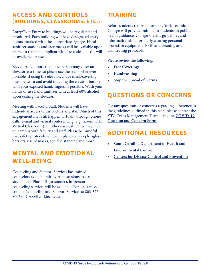### **ACCESS AND CONTROLS (BUILDINGS, CLASSROOMS, ETC.)**

Entry/Exit: Entry to buildings will be regulated and monitored. Each building will have designated entry points, marked with the appropriate signage. Hand sanitizer stations and face masks will be available upon entry. To remain compliant with fire code, all exits will be available for use.

Elevators: No more than one person may enter an elevator at a time, so please use the stairs whenever possible. If using the elevator, a face mask/covering must be worn and avoid touching the elevator buttons with your exposed hand/fingers, if possible. Wash your hands or use hand sanitizer with at least 60% alcohol upon exiting the elevator.

Meeting with Faculty/Staff: Students will have individual access to instructors and staff. Much of this engagement may still happen virtually through phone calls, e-mail and virtual conferencing (e.g., Zoom, D2L Virtual Classroom). In other cases, students may meet on campus with faculty and staff. Please be mindful that safety protocols will be in place such as plexiglass barriers, use of masks, social distancing and more.

# **MENTAL AND EMOTIONAL WELL-BEING**

Counseling and Support Services has trained counselors available with virtual sessions to assist students. In Phase III (or sooner), in-person counseling services will be available. For assistance, contact Counseling and Support Services at 803-327- 8007 or CASS@yorktech.edu.

# **TRAINING**

Before students return to campus, York Technical College will provide training to students on public health guidance, College specific guidelines and information about properly wearing personal protective equipment (PPE) and cleaning and disinfecting protocols.

Please review the following:

- **• [Face Coverings](https://www.cdc.gov/coronavirus/2019-ncov/downloads/cloth-face-covering.pdf)**
- **• [Handwashing](https://www.cdc.gov/video/covid19/downloadable-videos/306898_WYKTK_Handwashing.mp4)**
- **• [Stop the Spread of Germs](https://www.cdc.gov/video/covid19/downloadable-videos/COVID-19-Stop-the-Spread-of-Germs.mp4)**

# **QUESTIONS OR CONCERNS**

For any questions or concerns regarding adherence to the guidelines outlined in this plan, please contact the YTC Crisis Management Team using the **[COVID-19](https://yorktech.info/COVID19Form)  [Question and Concern Form.](https://yorktech.info/COVID19Form)**

# **ADDITIONAL RESOURCES**

- **• [South Carolina Department of Health and](https://www.scdhec.gov/infectious-diseases/viruses/coronavirus-disease-2019-covid-19)  [Environmental Control](https://www.scdhec.gov/infectious-diseases/viruses/coronavirus-disease-2019-covid-19)**
- **• [Centers for Disease Control and Prevention](http://Centers for Disease Control and Prevention)**